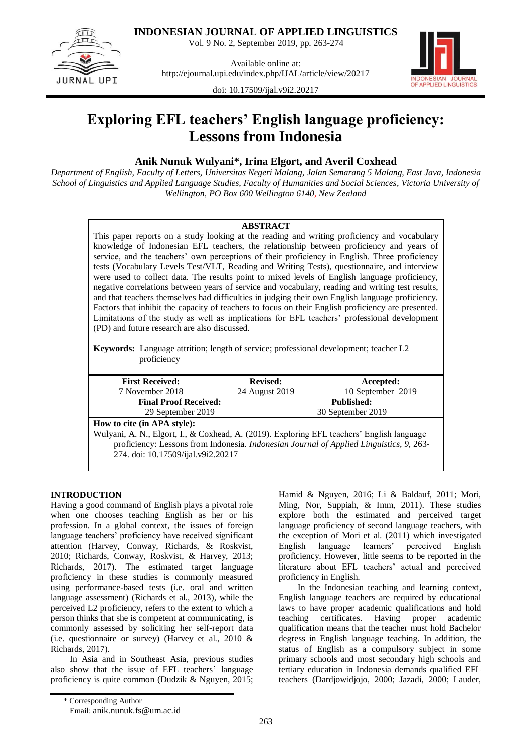

**INDONESIAN JOURNAL OF APPLIED LINGUISTICS**

Vol. 9 No. 2, September 2019, pp. 263-274

Available online at: <http://ejournal.upi.edu/index.php/IJAL/article/view/20217>



doi: [10.17509/ijal.v9i2.20217](http://dx.doi.org/10.17509/ijal.v9i2.20217)

# **Exploring EFL teachers' English language proficiency: Lessons from Indonesia**

## **Anik Nunuk Wulyani\*, Irina Elgort, and Averil Coxhead**

*Department of English, Faculty of Letters, Universitas Negeri Malang, Jalan Semarang 5 Malang, East Java, Indonesia School of Linguistics and Applied Language Studies, Faculty of Humanities and Social Sciences, Victoria University of Wellington, PO Box 600 Wellington 6140, New Zealand*

## **ABSTRACT**

This paper reports on a study looking at the reading and writing proficiency and vocabulary knowledge of Indonesian EFL teachers, the relationship between proficiency and years of service, and the teachers' own perceptions of their proficiency in English. Three proficiency tests (Vocabulary Levels Test/VLT, Reading and Writing Tests), questionnaire, and interview were used to collect data. The results point to mixed levels of English language proficiency, negative correlations between years of service and vocabulary, reading and writing test results, and that teachers themselves had difficulties in judging their own English language proficiency. Factors that inhibit the capacity of teachers to focus on their English proficiency are presented. Limitations of the study as well as implications for EFL teachers' professional development (PD) and future research are also discussed.

**Keywords:** Language attrition; length of service; professional development; teacher L2 proficiency

| <b>First Received:</b>                                                                     | <b>Revised:</b>   | Accepted:         |  |  |  |
|--------------------------------------------------------------------------------------------|-------------------|-------------------|--|--|--|
| 7 November 2018                                                                            | 24 August 2019    | 10 September 2019 |  |  |  |
| <b>Final Proof Received:</b>                                                               |                   | <b>Published:</b> |  |  |  |
| 29 September 2019                                                                          | 30 September 2019 |                   |  |  |  |
| How to cite (in APA style):                                                                |                   |                   |  |  |  |
| Wulyani, A. N., Elgort, I., & Coxhead, A. (2019). Exploring EFL teachers' English language |                   |                   |  |  |  |
| proficiency: Lessons from Indonesia. Indonesian Journal of Applied Linguistics, 9, 263-    |                   |                   |  |  |  |
| 274. doi: 10.17509/ijal.v9i2.20217                                                         |                   |                   |  |  |  |
|                                                                                            |                   |                   |  |  |  |

## **INTRODUCTION**

Having a good command of English plays a pivotal role when one chooses teaching English as her or his profession. In a global context, the issues of foreign language teachers' proficiency have received significant attention (Harvey, Conway, Richards, & Roskvist, 2010; Richards, Conway, Roskvist, & Harvey, 2013; Richards, 2017). The estimated target language proficiency in these studies is commonly measured using performance-based tests (i.e. oral and written language assessment) (Richards et al., 2013), while the perceived L2 proficiency, refers to the extent to which a person thinks that she is competent at communicating, is commonly assessed by soliciting her self-report data (i.e. questionnaire or survey) (Harvey et al., 2010 & Richards, 2017).

In Asia and in Southeast Asia, previous studies also show that the issue of EFL teachers' language proficiency is quite common (Dudzik & Nguyen, 2015;

In the Indonesian teaching and learning context, English language teachers are required by educational laws to have proper academic qualifications and hold teaching certificates. Having proper academic qualification means that the teacher must hold Bachelor degress in English language teaching. In addition, the status of English as a compulsory subject in some primary schools and most secondary high schools and tertiary education in Indonesia demands qualified EFL teachers (Dardjowidjojo, 2000; Jazadi, 2000; Lauder,

Hamid & Nguyen, 2016; Li & Baldauf, 2011; Mori, Ming, Nor, Suppiah, & Imm, 2011). These studies explore both the estimated and perceived target language proficiency of second language teachers, with the exception of Mori et al. (2011) which investigated English language learners' perceived English proficiency. However, little seems to be reported in the literature about EFL teachers' actual and perceived proficiency in English.

<sup>\*</sup> Corresponding Author Email: anik.nunuk.fs@um.ac.id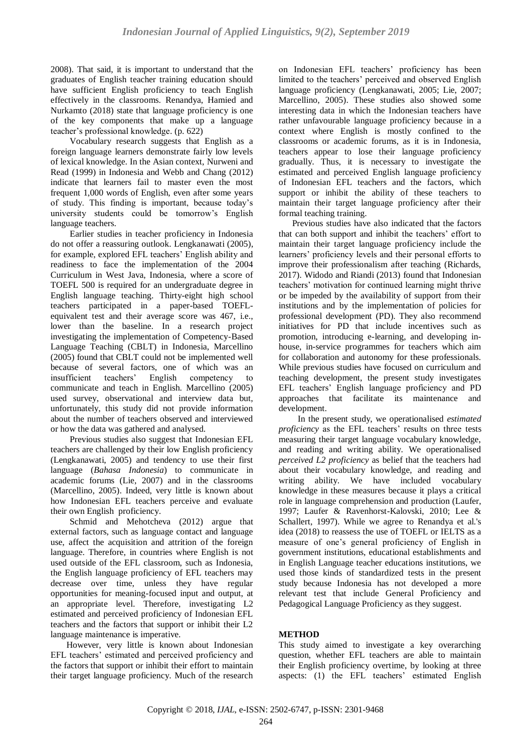2008). That said, it is important to understand that the graduates of English teacher training education should have sufficient English proficiency to teach English effectively in the classrooms. Renandya, Hamied and Nurkamto (2018) state that language proficiency is one of the key components that make up a language teacher's professional knowledge. (p. 622)

Vocabulary research suggests that English as a foreign language learners demonstrate fairly low levels of lexical knowledge. In the Asian context, Nurweni and Read (1999) in Indonesia and Webb and Chang (2012) indicate that learners fail to master even the most frequent 1,000 words of English, even after some years of study. This finding is important, because today's university students could be tomorrow's English language teachers.

Earlier studies in teacher proficiency in Indonesia do not offer a reassuring outlook. Lengkanawati (2005), for example, explored EFL teachers' English ability and readiness to face the implementation of the 2004 Curriculum in West Java, Indonesia, where a score of TOEFL 500 is required for an undergraduate degree in English language teaching. Thirty-eight high school teachers participated in a paper-based TOEFLequivalent test and their average score was 467, i.e., lower than the baseline. In a research project investigating the implementation of Competency-Based Language Teaching (CBLT) in Indonesia, Marcellino (2005) found that CBLT could not be implemented well because of several factors, one of which was an insufficient teachers' English competency to communicate and teach in English. Marcellino (2005) used survey, observational and interview data but, unfortunately, this study did not provide information about the number of teachers observed and interviewed or how the data was gathered and analysed.

Previous studies also suggest that Indonesian EFL teachers are challenged by their low English proficiency (Lengkanawati, 2005) and tendency to use their first language (*Bahasa Indonesia*) to communicate in academic forums (Lie, 2007) and in the classrooms (Marcellino, 2005). Indeed, very little is known about how Indonesian EFL teachers perceive and evaluate their own English proficiency.

Schmid and Mehotcheva (2012) argue that external factors, such as language contact and language use, affect the acquisition and attrition of the foreign language. Therefore, in countries where English is not used outside of the EFL classroom, such as Indonesia, the English language proficiency of EFL teachers may decrease over time, unless they have regular opportunities for meaning-focused input and output, at an appropriate level. Therefore, investigating L2 estimated and perceived proficiency of Indonesian EFL teachers and the factors that support or inhibit their L2 language maintenance is imperative.

 However, very little is known about Indonesian EFL teachers' estimated and perceived proficiency and the factors that support or inhibit their effort to maintain their target language proficiency. Much of the research on Indonesian EFL teachers' proficiency has been limited to the teachers' perceived and observed English language proficiency (Lengkanawati, 2005; Lie, 2007; Marcellino, 2005). These studies also showed some interesting data in which the Indonesian teachers have rather unfavourable language proficiency because in a context where English is mostly confined to the classrooms or academic forums, as it is in Indonesia, teachers appear to lose their language proficiency gradually. Thus, it is necessary to investigate the estimated and perceived English language proficiency of Indonesian EFL teachers and the factors, which support or inhibit the ability of these teachers to maintain their target language proficiency after their formal teaching training.

Previous studies have also indicated that the factors that can both support and inhibit the teachers' effort to maintain their target language proficiency include the learners' proficiency levels and their personal efforts to improve their professionalism after teaching (Richards, 2017). Widodo and Riandi (2013) found that Indonesian teachers' motivation for continued learning might thrive or be impeded by the availability of support from their institutions and by the implementation of policies for professional development (PD). They also recommend initiatives for PD that include incentives such as promotion, introducing e-learning, and developing inhouse, in-service programmes for teachers which aim for collaboration and autonomy for these professionals. While previous studies have focused on curriculum and teaching development, the present study investigates EFL teachers' English language proficiency and PD approaches that facilitate its maintenance and development.

In the present study, we operationalised *estimated proficiency* as the EFL teachers' results on three tests measuring their target language vocabulary knowledge, and reading and writing ability. We operationalised *perceived L2 proficiency* as belief that the teachers had about their vocabulary knowledge, and reading and writing ability. We have included vocabulary knowledge in these measures because it plays a critical role in language comprehension and production (Laufer, 1997; Laufer & Ravenhorst-Kalovski, 2010; Lee & Schallert, 1997). While we agree to Renandya et al.'s idea (2018) to reassess the use of TOEFL or IELTS as a measure of one's general proficiency of English in government institutions, educational establishments and in English Language teacher educations institutions, we used those kinds of standardized tests in the present study because Indonesia has not developed a more relevant test that include General Proficiency and Pedagogical Language Proficiency as they suggest.

## **METHOD**

This study aimed to investigate a key overarching question, whether EFL teachers are able to maintain their English proficiency overtime, by looking at three aspects: (1) the EFL teachers' estimated English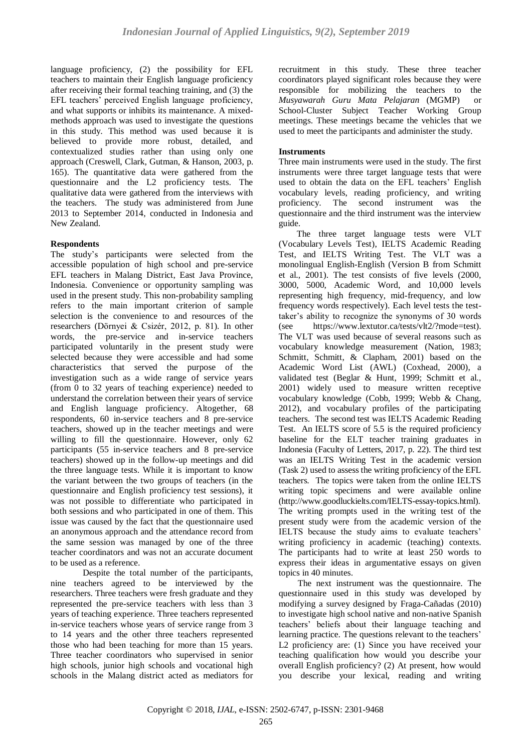language proficiency, (2) the possibility for EFL teachers to maintain their English language proficiency after receiving their formal teaching training, and (3) the EFL teachers' perceived English language proficiency, and what supports or inhibits its maintenance. A mixedmethods approach was used to investigate the questions in this study. This method was used because it is believed to provide more robust, detailed, and contextualized studies rather than using only one approach (Creswell, Clark, Gutman, & Hanson, 2003, p. 165). The quantitative data were gathered from the questionnaire and the L2 proficiency tests. The qualitative data were gathered from the interviews with the teachers. The study was administered from June 2013 to September 2014, conducted in Indonesia and New Zealand.

## **Respondents**

The study's participants were selected from the accessible population of high school and pre-service EFL teachers in Malang District, East Java Province, Indonesia. Convenience or opportunity sampling was used in the present study. This non-probability sampling refers to the main important criterion of sample selection is the convenience to and resources of the researchers (Dörnyei & Csizér, 2012, p. 81)*.* In other words, the pre-service and in-service teachers participated voluntarily in the present study were selected because they were accessible and had some characteristics that served the purpose of the investigation such as a wide range of service years (from 0 to 32 years of teaching experience) needed to understand the correlation between their years of service and English language proficiency. Altogether, 68 respondents, 60 in-service teachers and 8 pre-service teachers, showed up in the teacher meetings and were willing to fill the questionnaire. However, only 62 participants (55 in-service teachers and 8 pre-service teachers) showed up in the follow-up meetings and did the three language tests. While it is important to know the variant between the two groups of teachers (in the questionnaire and English proficiency test sessions), it was not possible to differentiate who participated in both sessions and who participated in one of them. This issue was caused by the fact that the questionnaire used an anonymous approach and the attendance record from the same session was managed by one of the three teacher coordinators and was not an accurate document to be used as a reference.

Despite the total number of the participants, nine teachers agreed to be interviewed by the researchers. Three teachers were fresh graduate and they represented the pre-service teachers with less than 3 years of teaching experience. Three teachers represented in-service teachers whose years of service range from 3 to 14 years and the other three teachers represented those who had been teaching for more than 15 years. Three teacher coordinators who supervised in senior high schools, junior high schools and vocational high schools in the Malang district acted as mediators for recruitment in this study. These three teacher coordinators played significant roles because they were responsible for mobilizing the teachers to the *Musyawarah Guru Mata Pelajaran* (MGMP) or School-Cluster Subject Teacher Working Group meetings. These meetings became the vehicles that we used to meet the participants and administer the study.

## **Instruments**

Three main instruments were used in the study. The first instruments were three target language tests that were used to obtain the data on the EFL teachers' English vocabulary levels, reading proficiency, and writing proficiency. The second instrument was the questionnaire and the third instrument was the interview guide.

 The three target language tests were VLT (Vocabulary Levels Test), IELTS Academic Reading Test, and IELTS Writing Test. The VLT was a monolingual English-English (Version B from Schmitt et al., 2001). The test consists of five levels (2000, 3000, 5000, Academic Word, and 10,000 levels representing high frequency, mid-frequency, and low frequency words respectively). Each level tests the testtaker's ability to recognize the synonyms of 30 words (see https://www.lextutor.ca/tests/vlt2/?mode=test). The VLT was used because of several reasons such as vocabulary knowledge measurement (Nation, 1983; Schmitt, Schmitt, & Clapham, 2001) based on the Academic Word List (AWL) (Coxhead, 2000), a validated test (Beglar & Hunt, 1999; Schmitt et al., 2001) widely used to measure written receptive vocabulary knowledge (Cobb, 1999; Webb & Chang, 2012), and vocabulary profiles of the participating teachers. The second test was IELTS Academic Reading Test. An IELTS score of 5.5 is the required proficiency baseline for the ELT teacher training graduates in Indonesia (Faculty of Letters, 2017, p. 22). The third test was an IELTS Writing Test in the academic version (Task 2) used to assess the writing proficiency of the EFL teachers. The topics were taken from the online IELTS writing topic specimens and were available online (http://www.goodluckielts.com/IELTS-essay-topics.html). The writing prompts used in the writing test of the present study were from the academic version of the IELTS because the study aims to evaluate teachers' writing proficiency in academic (teaching) contexts. The participants had to write at least 250 words to express their ideas in argumentative essays on given topics in 40 minutes.

The next instrument was the questionnaire. The questionnaire used in this study was developed by modifying a survey designed by Fraga-Cañadas (2010) to investigate high school native and non-native Spanish teachers' beliefs about their language teaching and learning practice. The questions relevant to the teachers' L2 proficiency are: (1) Since you have received your teaching qualification how would you describe your overall English proficiency? (2) At present, how would you describe your lexical, reading and writing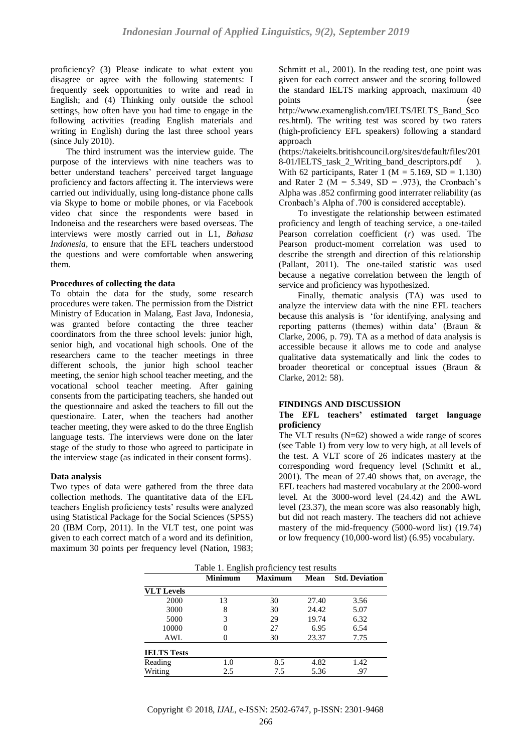proficiency? (3) Please indicate to what extent you disagree or agree with the following statements: I frequently seek opportunities to write and read in English; and (4) Thinking only outside the school settings, how often have you had time to engage in the following activities (reading English materials and writing in English) during the last three school years (since July 2010).

 The third instrument was the interview guide. The purpose of the interviews with nine teachers was to better understand teachers' perceived target language proficiency and factors affecting it. The interviews were carried out individually, using long-distance phone calls via Skype to home or mobile phones, or via Facebook video chat since the respondents were based in Indoneisa and the researchers were based overseas. The interviews were mostly carried out in L1, *Bahasa Indonesia,* to ensure that the EFL teachers understood the questions and were comfortable when answering them.

#### **Procedures of collecting the data**

To obtain the data for the study, some research procedures were taken. The permission from the District Ministry of Education in Malang, East Java, Indonesia, was granted before contacting the three teacher coordinators from the three school levels: junior high, senior high, and vocational high schools. One of the researchers came to the teacher meetings in three different schools, the junior high school teacher meeting, the senior high school teacher meeting, and the vocational school teacher meeting. After gaining consents from the participating teachers, she handed out the questionnaire and asked the teachers to fill out the questionaire. Later, when the teachers had another teacher meeting, they were asked to do the three English language tests. The interviews were done on the later stage of the study to those who agreed to participate in the interview stage (as indicated in their consent forms).

## **Data analysis**

Two types of data were gathered from the three data collection methods. The quantitative data of the EFL teachers English proficiency tests' results were analyzed using Statistical Package for the Social Sciences (SPSS) 20 (IBM Corp, 2011). In the VLT test, one point was given to each correct match of a word and its definition, maximum 30 points per frequency level (Nation, 1983; Schmitt et al., 2001). In the reading test, one point was given for each correct answer and the scoring followed the standard IELTS marking approach, maximum 40 points (see

[http://www.examenglish.com/IELTS/IELTS\\_Band\\_Sco](http://www.examenglish.com/IELTS/IELTS_Band_Scores.html) [res.html\)](http://www.examenglish.com/IELTS/IELTS_Band_Scores.html). The writing test was scored by two raters (high-proficiency EFL speakers) following a standard approach

[\(https://takeielts.britishcouncil.org/sites/default/files/201](https://takeielts.britishcouncil.org/sites/default/files/2018-01/IELTS_task_2_Writing_band_descriptors.pdf) 8-01/IELTS task 2 Writing band descriptors.pdf ). With 62 participants, Rater 1 ( $M = 5.169$ ,  $SD = 1.130$ ) and Rater 2 ( $\overline{M}$  = 5.349, SD = .973), the Cronbach's Alpha was .852 confirming good interrater reliability (as Cronbach's Alpha of .700 is considered acceptable).

To investigate the relationship between estimated proficiency and length of teaching service, a one-tailed Pearson correlation coefficient (*r*) was used. The Pearson product-moment correlation was used to describe the strength and direction of this relationship (Pallant, 2011). The one-tailed statistic was used because a negative correlation between the length of service and proficiency was hypothesized.

Finally, thematic analysis (TA) was used to analyze the interview data with the nine EFL teachers because this analysis is 'for identifying, analysing and reporting patterns (themes) within data' (Braun & Clarke, 2006, p. 79). TA as a method of data analysis is accessible because it allows me to code and analyse qualitative data systematically and link the codes to broader theoretical or conceptual issues (Braun & Clarke, 2012: 58).

#### **FINDINGS AND DISCUSSION**

#### **The EFL teachers' estimated target language proficiency**

The VLT results (N=62) showed a wide range of scores (see Table 1) from very low to very high, at all levels of the test. A VLT score of 26 indicates mastery at the corresponding word frequency level (Schmitt et al., 2001). The mean of 27.40 shows that, on average, the EFL teachers had mastered vocabulary at the 2000-word level. At the 3000-word level (24.42) and the AWL level (23.37), the mean score was also reasonably high, but did not reach mastery. The teachers did not achieve mastery of the mid-frequency (5000-word list) (19.74) or low frequency (10,000-word list) (6.95) vocabulary.

|                    | Table 1. English proficiency test results |     |       |                       |  |  |
|--------------------|-------------------------------------------|-----|-------|-----------------------|--|--|
|                    | <b>Minimum</b>                            |     | Mean  | <b>Std. Deviation</b> |  |  |
| <b>VLT</b> Levels  |                                           |     |       |                       |  |  |
| 2000               | 13                                        | 30  | 27.40 | 3.56                  |  |  |
| 3000               | 8                                         | 30  | 24.42 | 5.07                  |  |  |
| 5000               | 3                                         | 29  | 19.74 | 6.32                  |  |  |
| 10000              |                                           | 27  | 6.95  | 6.54                  |  |  |
| AWL                |                                           | 30  | 23.37 | 7.75                  |  |  |
| <b>IELTS Tests</b> |                                           |     |       |                       |  |  |
| Reading            | 1.0                                       | 8.5 | 4.82  | 1.42                  |  |  |
| Writing            | 2.5                                       | 7.5 | 5.36  | .97                   |  |  |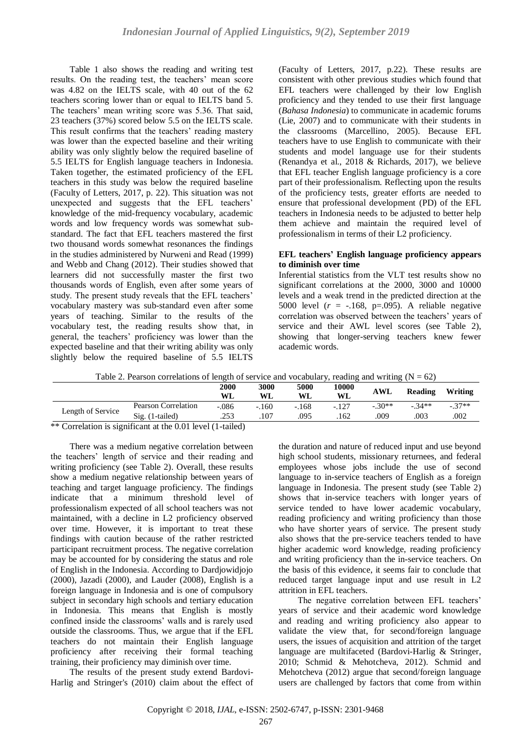Table 1 also shows the reading and writing test results. On the reading test, the teachers' mean score was 4.82 on the IELTS scale, with 40 out of the 62 teachers scoring lower than or equal to IELTS band 5. The teachers' mean writing score was 5.36. That said, 23 teachers (37%) scored below 5.5 on the IELTS scale. This result confirms that the teachers' reading mastery was lower than the expected baseline and their writing ability was only slightly below the required baseline of 5.5 IELTS for English language teachers in Indonesia. Taken together, the estimated proficiency of the EFL teachers in this study was below the required baseline (Faculty of Letters, 2017, p. 22). This situation was not unexpected and suggests that the EFL teachers' knowledge of the mid-frequency vocabulary, academic words and low frequency words was somewhat substandard. The fact that EFL teachers mastered the first two thousand words somewhat resonances the findings in the studies administered by Nurweni and Read (1999) and Webb and Chang (2012). Their studies showed that learners did not successfully master the first two thousands words of English, even after some years of study. The present study reveals that the EFL teachers' vocabulary mastery was sub-standard even after some years of teaching. Similar to the results of the vocabulary test, the reading results show that, in general, the teachers' proficiency was lower than the expected baseline and that their writing ability was only slightly below the required baseline of 5.5 IELTS (Faculty of Letters, 2017, p.22). These results are consistent with other previous studies which found that EFL teachers were challenged by their low English proficiency and they tended to use their first language (*Bahasa Indonesia*) to communicate in academic forums (Lie, 2007) and to communicate with their students in the classrooms (Marcellino, 2005). Because EFL teachers have to use English to communicate with their students and model language use for their students (Renandya et al., 2018 & Richards, 2017), we believe that EFL teacher English language proficiency is a core part of their professionalism. Reflecting upon the results of the proficiency tests, greater efforts are needed to ensure that professional development (PD) of the EFL teachers in Indonesia needs to be adjusted to better help them achieve and maintain the required level of professionalism in terms of their L2 proficiency.

## **EFL teachers' English language proficiency appears to diminish over time**

Inferential statistics from the VLT test results show no significant correlations at the 2000, 3000 and 10000 levels and a weak trend in the predicted direction at the 5000 level (*r* = -.168, p=.095). A reliable negative correlation was observed between the teachers' years of service and their AWL level scores (see Table 2), showing that longer-serving teachers knew fewer academic words.

|  | Table 2. Pearson correlations of length of service and vocabulary, reading and writing $(N = 62)$ |
|--|---------------------------------------------------------------------------------------------------|
|  |                                                                                                   |

|                   |                     | 2000<br>WL | 3000<br>WL | 5000<br>WL | 10000<br>WL | <b>AWL</b> | Reading | Writing |
|-------------------|---------------------|------------|------------|------------|-------------|------------|---------|---------|
| Length of Service | Pearson Correlation | $-.086$    | $-.160$    | $-.168$    | $-.127$     | $-.30**$   | $-34**$ | $-37**$ |
|                   | $Sig.$ (1-tailed)   | .253       | .107       | .095       | 162         | .009       | 003     | .002    |

\*\* Correlation is significant at the  $\overline{0.01}$  level (1-tailed)

There was a medium negative correlation between the teachers' length of service and their reading and writing proficiency (see Table 2). Overall, these results show a medium negative relationship between years of teaching and target language proficiency. The findings indicate that a minimum threshold level of professionalism expected of all school teachers was not maintained, with a decline in L2 proficiency observed over time. However, it is important to treat these findings with caution because of the rather restricted participant recruitment process. The negative correlation may be accounted for by considering the status and role of English in the Indonesia. According to Dardjowidjojo (2000), Jazadi (2000), and Lauder (2008), English is a foreign language in Indonesia and is one of compulsory subject in secondary high schools and tertiary education in Indonesia. This means that English is mostly confined inside the classrooms' walls and is rarely used outside the classrooms. Thus, we argue that if the EFL teachers do not maintain their English language proficiency after receiving their formal teaching training, their proficiency may diminish over time.

The results of the present study extend Bardovi-Harlig and Stringer's (2010) claim about the effect of the duration and nature of reduced input and use beyond high school students, missionary returnees, and federal employees whose jobs include the use of second language to in-service teachers of English as a foreign language in Indonesia. The present study (see Table 2) shows that in-service teachers with longer years of service tended to have lower academic vocabulary, reading proficiency and writing proficiency than those who have shorter years of service. The present study also shows that the pre-service teachers tended to have higher academic word knowledge, reading proficiency and writing proficiency than the in-service teachers. On the basis of this evidence, it seems fair to conclude that reduced target language input and use result in L2 attrition in EFL teachers.

The negative correlation between EFL teachers' years of service and their academic word knowledge and reading and writing proficiency also appear to validate the view that, for second/foreign language users, the issues of acquisition and attrition of the target language are multifaceted (Bardovi-Harlig & Stringer, 2010; Schmid & Mehotcheva, 2012). Schmid and Mehotcheva (2012) argue that second/foreign language users are challenged by factors that come from within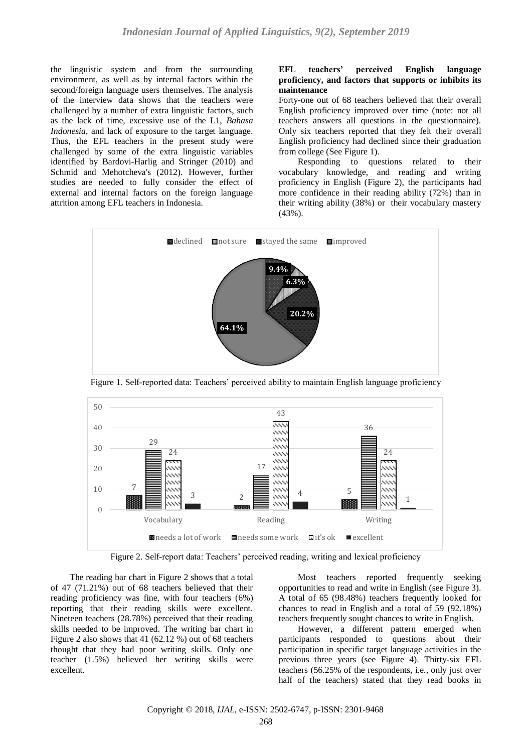the linguistic system and from the surrounding environment, as well as by internal factors within the second/foreign language users themselves. The analysis of the interview data shows that the teachers were challenged by a number of extra linguistic factors, such as the lack of time, excessive use of the L1, *Bahasa Indonesia*, and lack of exposure to the target language. Thus, the EFL teachers in the present study were challenged by some of the extra linguistic variables identified by Bardovi-Harlig and Stringer (2010) and Schmid and Mehotcheva's (2012). However, further studies are needed to fully consider the effect of external and internal factors on the foreign language attrition among EFL teachers in Indonesia.

#### **EFL teachers' perceived English language proficiency, and factors that supports or inhibits its maintenance**

Forty-one out of 68 teachers believed that their overall English proficiency improved over time (note: not all teachers answers all questions in the questionnaire). Only six teachers reported that they felt their overall English proficiency had declined since their graduation from college (See Figure 1).

Responding to questions related to their vocabulary knowledge, and reading and writing proficiency in English (Figure 2), the participants had more confidence in their reading ability (72%) than in their writing ability (38%) or their vocabulary mastery  $(43\%)$ .



Figure 1. Self-reported data: Teachers' perceived ability to maintain English language proficiency



Figure 2. Self-report data: Teachers' perceived reading, writing and lexical proficiency

The reading bar chart in Figure 2 shows that a total of 47 (71.21%) out of 68 teachers believed that their reading proficiency was fine, with four teachers (6%) reporting that their reading skills were excellent. Nineteen teachers (28.78%) perceived that their reading skills needed to be improved. The writing bar chart in Figure 2 also shows that 41 (62.12 %) out of 68 teachers thought that they had poor writing skills. Only one teacher (1.5%) believed her writing skills were excellent.

Most teachers reported frequently seeking opportunities to read and write in English (see Figure 3). A total of 65 (98.48%) teachers frequently looked for chances to read in English and a total of 59 (92.18%) teachers frequently sought chances to write in English.

However, a different pattern emerged when participants responded to questions about their participation in specific target language activities in the previous three years (see Figure 4). Thirty-six EFL teachers (56.25% of the respondents, i.e., only just over half of the teachers) stated that they read books in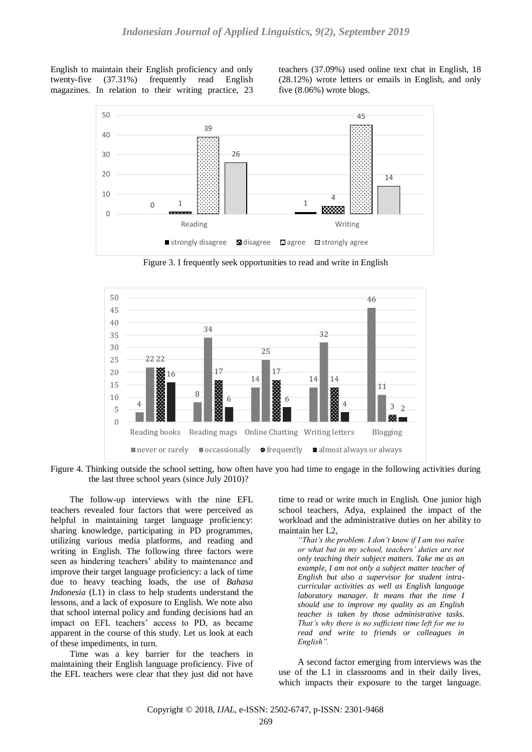English to maintain their English proficiency and only twenty-five (37.31%) frequently read English magazines. In relation to their writing practice, 23 teachers (37.09%) used online text chat in English, 18 (28.12%) wrote letters or emails in English, and only five (8.06%) wrote blogs.



Figure 3. I frequently seek opportunities to read and write in English



Figure 4. Thinking outside the school setting, how often have you had time to engage in the following activities during the last three school years (since July 2010)?

The follow-up interviews with the nine EFL teachers revealed four factors that were perceived as helpful in maintaining target language proficiency: sharing knowledge, participating in PD programmes, utilizing various media platforms, and reading and writing in English. The following three factors were seen as hindering teachers' ability to maintenance and improve their target language proficiency: a lack of time due to heavy teaching loads, the use of *Bahasa Indonesia* (L1) in class to help students understand the lessons, and a lack of exposure to English. We note also that school internal policy and funding decisions had an impact on EFL teachers' access to PD, as became apparent in the course of this study. Let us look at each of these impediments, in turn.

Time was a key barrier for the teachers in maintaining their English language proficiency. Five of the EFL teachers were clear that they just did not have

time to read or write much in English. One junior high school teachers, Adya, explained the impact of the workload and the administrative duties on her ability to maintain her L2,

*"That's the problem. I don't know if I am too naïve or what but in my school, teachers' duties are not only teaching their subject matters. Take me as an example, I am not only a subject matter teacher of English but also a supervisor for student intracurricular activities as well as English language laboratory manager. It means that the time I should use to improve my quality as an English teacher is taken by those administrative tasks. That's why there is no sufficient time left for me to read and write to friends or colleagues in English".* 

A second factor emerging from interviews was the use of the L1 in classrooms and in their daily lives, which impacts their exposure to the target language.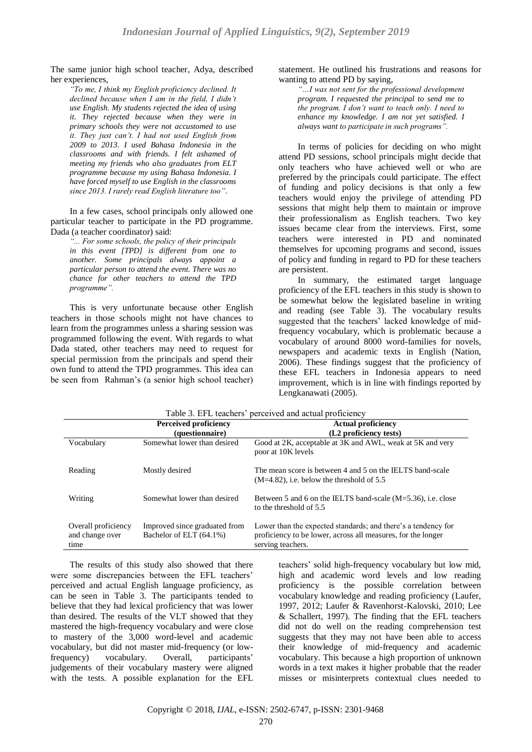The same junior high school teacher, Adya, described her experiences,

*"To me, I think my English proficiency declined. It declined because when I am in the field, I didn't use English. My students rejected the idea of using it. They rejected because when they were in primary schools they were not accustomed to use it. They just can't. I had not used English from 2009 to 2013. I used Bahasa Indonesia in the classrooms and with friends. I felt ashamed of meeting my friends who also graduates from ELT programme because my using Bahasa Indonesia. I have forced myself to use English in the classrooms since 2013. I rarely read English literature too"*.

In a few cases, school principals only allowed one particular teacher to participate in the PD programme. Dada (a teacher coordinator) said:

*"... For some schools, the policy of their principals in this event [TPD] is different from one to another. Some principals always appoint a particular person to attend the event. There was no chance for other teachers to attend the TPD programme".* 

This is very unfortunate because other English teachers in those schools might not have chances to learn from the programmes unless a sharing session was programmed following the event. With regards to what Dada stated, other teachers may need to request for special permission from the principals and spend their own fund to attend the TPD programmes. This idea can be seen from Rahman's (a senior high school teacher)

#### statement. He outlined his frustrations and reasons for wanting to attend PD by saying,

*"…I was not sent for the professional development program. I requested the principal to send me to the program. I don't want to teach only. I need to enhance my knowledge. I am not yet satisfied. I always want to participate in such programs".* 

In terms of policies for deciding on who might attend PD sessions, school principals might decide that only teachers who have achieved well or who are preferred by the principals could participate. The effect of funding and policy decisions is that only a few teachers would enjoy the privilege of attending PD sessions that might help them to maintain or improve their professionalism as English teachers. Two key issues became clear from the interviews. First, some teachers were interested in PD and nominated themselves for upcoming programs and second, issues of policy and funding in regard to PD for these teachers are persistent.

In summary, the estimated target language proficiency of the EFL teachers in this study is shown to be somewhat below the legislated baseline in writing and reading (see Table 3). The vocabulary results suggested that the teachers' lacked knowledge of midfrequency vocabulary, which is problematic because a vocabulary of around 8000 word-families for novels, newspapers and academic texts in English (Nation, 2006). These findings suggest that the proficiency of these EFL teachers in Indonesia appears to need improvement, which is in line with findings reported by Lengkanawati (2005).

| Table 3. EFL teachers' perceived and actual proficiency |                                                          |                                                                                                                                                    |  |
|---------------------------------------------------------|----------------------------------------------------------|----------------------------------------------------------------------------------------------------------------------------------------------------|--|
|                                                         | <b>Perceived proficiency</b><br>(questionnaire)          | <b>Actual proficiency</b><br>(L2 proficiency tests)                                                                                                |  |
| Vocabulary                                              | Somewhat lower than desired                              | Good at 2K, acceptable at 3K and AWL, weak at 5K and very<br>poor at 10K levels                                                                    |  |
| Reading                                                 | Mostly desired                                           | The mean score is between 4 and 5 on the IELTS band-scale<br>$(M=4.82)$ , i.e. below the threshold of 5.5                                          |  |
| Writing                                                 | Somewhat lower than desired                              | Between 5 and 6 on the IELTS band-scale $(M=5.36)$ , i.e. close<br>to the threshold of 5.5                                                         |  |
| Overall proficiency<br>and change over<br>time          | Improved since graduated from<br>Bachelor of ELT (64.1%) | Lower than the expected standards; and there's a tendency for<br>proficiency to be lower, across all measures, for the longer<br>serving teachers. |  |

The results of this study also showed that there were some discrepancies between the EFL teachers' perceived and actual English language proficiency, as can be seen in Table 3. The participants tended to believe that they had lexical proficiency that was lower than desired. The results of the VLT showed that they mastered the high-frequency vocabulary and were close to mastery of the 3,000 word-level and academic vocabulary, but did not master mid-frequency (or lowfrequency) vocabulary. Overall, participants' judgements of their vocabulary mastery were aligned with the tests. A possible explanation for the EFL teachers' solid high-frequency vocabulary but low mid, high and academic word levels and low reading proficiency is the possible correlation between vocabulary knowledge and reading proficiency (Laufer, 1997, 2012; Laufer & Ravenhorst-Kalovski, 2010; Lee & Schallert, 1997). The finding that the EFL teachers did not do well on the reading comprehension test suggests that they may not have been able to access their knowledge of mid-frequency and academic vocabulary. This because a high proportion of unknown words in a text makes it higher probable that the reader misses or misinterprets contextual clues needed to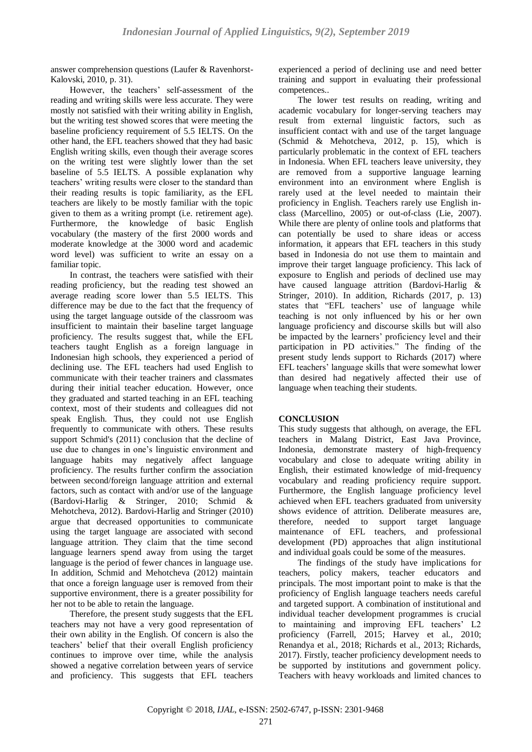answer comprehension questions (Laufer & Ravenhorst-Kalovski, 2010, p. 31).

However, the teachers' self-assessment of the reading and writing skills were less accurate. They were mostly not satisfied with their writing ability in English, but the writing test showed scores that were meeting the baseline proficiency requirement of 5.5 IELTS. On the other hand, the EFL teachers showed that they had basic English writing skills, even though their average scores on the writing test were slightly lower than the set baseline of 5.5 IELTS. A possible explanation why teachers' writing results were closer to the standard than their reading results is topic familiarity, as the EFL teachers are likely to be mostly familiar with the topic given to them as a writing prompt (i.e. retirement age). Furthermore, the knowledge of basic English vocabulary (the mastery of the first 2000 words and moderate knowledge at the 3000 word and academic word level) was sufficient to write an essay on a familiar topic.

In contrast, the teachers were satisfied with their reading proficiency, but the reading test showed an average reading score lower than 5.5 IELTS. This difference may be due to the fact that the frequency of using the target language outside of the classroom was insufficient to maintain their baseline target language proficiency. The results suggest that, while the EFL teachers taught English as a foreign language in Indonesian high schools, they experienced a period of declining use. The EFL teachers had used English to communicate with their teacher trainers and classmates during their initial teacher education. However, once they graduated and started teaching in an EFL teaching context, most of their students and colleagues did not speak English. Thus, they could not use English frequently to communicate with others. These results support Schmid's (2011) conclusion that the decline of use due to changes in one's linguistic environment and language habits may negatively affect language proficiency. The results further confirm the association between second/foreign language attrition and external factors, such as contact with and/or use of the language (Bardovi-Harlig & Stringer, 2010; Schmid & Mehotcheva, 2012). Bardovi-Harlig and Stringer (2010) argue that decreased opportunities to communicate using the target language are associated with second language attrition. They claim that the time second language learners spend away from using the target language is the period of fewer chances in language use. In addition, Schmid and Mehotcheva (2012) maintain that once a foreign language user is removed from their supportive environment, there is a greater possibility for her not to be able to retain the language.

Therefore, the present study suggests that the EFL teachers may not have a very good representation of their own ability in the English. Of concern is also the teachers' belief that their overall English proficiency continues to improve over time, while the analysis showed a negative correlation between years of service and proficiency. This suggests that EFL teachers experienced a period of declining use and need better training and support in evaluating their professional competences..

The lower test results on reading, writing and academic vocabulary for longer-serving teachers may result from external linguistic factors, such as insufficient contact with and use of the target language (Schmid & Mehotcheva, 2012, p. 15), which is particularly problematic in the context of EFL teachers in Indonesia. When EFL teachers leave university, they are removed from a supportive language learning environment into an environment where English is rarely used at the level needed to maintain their proficiency in English. Teachers rarely use English inclass (Marcellino, 2005) or out-of-class (Lie, 2007). While there are plenty of online tools and platforms that can potentially be used to share ideas or access information, it appears that EFL teachers in this study based in Indonesia do not use them to maintain and improve their target language proficiency. This lack of exposure to English and periods of declined use may have caused language attrition (Bardovi-Harlig & Stringer, 2010). In addition, Richards (2017, p. 13) states that "EFL teachers' use of language while teaching is not only influenced by his or her own language proficiency and discourse skills but will also be impacted by the learners' proficiency level and their participation in PD activities." The finding of the present study lends support to Richards (2017) where EFL teachers' language skills that were somewhat lower than desired had negatively affected their use of language when teaching their students.

## **CONCLUSION**

This study suggests that although, on average, the EFL teachers in Malang District, East Java Province, Indonesia, demonstrate mastery of high-frequency vocabulary and close to adequate writing ability in English, their estimated knowledge of mid-frequency vocabulary and reading proficiency require support. Furthermore, the English language proficiency level achieved when EFL teachers graduated from university shows evidence of attrition. Deliberate measures are, therefore, needed to support target language maintenance of EFL teachers, and professional development (PD) approaches that align institutional and individual goals could be some of the measures.

The findings of the study have implications for teachers, policy makers, teacher educators and principals. The most important point to make is that the proficiency of English language teachers needs careful and targeted support. A combination of institutional and individual teacher development programmes is crucial to maintaining and improving EFL teachers' L2 proficiency (Farrell, 2015; Harvey et al., 2010; Renandya et al., 2018; Richards et al., 2013; Richards, 2017). Firstly, teacher proficiency development needs to be supported by institutions and government policy. Teachers with heavy workloads and limited chances to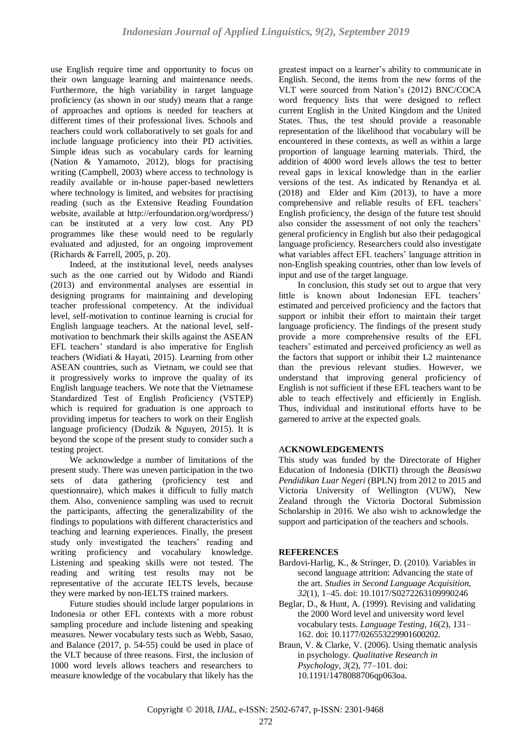use English require time and opportunity to focus on their own language learning and maintenance needs. Furthermore, the high variability in target language proficiency (as shown in our study) means that a range of approaches and options is needed for teachers at different times of their professional lives. Schools and teachers could work collaboratively to set goals for and include language proficiency into their PD activities. Simple ideas such as vocabulary cards for learning (Nation & Yamamoto, 2012), blogs for practising writing (Campbell, 2003) where access to technology is readily available or in-house paper-based newletters where technology is limited, and websites for practising reading (such as the Extensive Reading Foundation website, available at [http://erfoundation.org/wordpress/\)](http://erfoundation.org/wordpress/) can be instituted at a very low cost. Any PD programmes like these would need to be regularly evaluated and adjusted, for an ongoing improvement (Richards & Farrell, 2005, p. 20).

Indeed, at the institutional level, needs analyses such as the one carried out by Widodo and Riandi (2013) and environmental analyses are essential in designing programs for maintaining and developing teacher professional competency. At the individual level, self-motivation to continue learning is crucial for English language teachers. At the national level, selfmotivation to benchmark their skills against the ASEAN EFL teachers' standard is also imperative for English teachers (Widiati & Hayati, 2015). Learning from other ASEAN countries, such as Vietnam, we could see that it progressively works to improve the quality of its English language teachers. We note that the Vietnamese Standardized Test of English Proficiency (VSTEP) which is required for graduation is one approach to providing impetus for teachers to work on their English language proficiency (Dudzik & Nguyen, 2015). It is beyond the scope of the present study to consider such a testing project.

We acknowledge a number of limitations of the present study. There was uneven participation in the two sets of data gathering (proficiency test and questionnaire), which makes it difficult to fully match them. Also, convenience sampling was used to recruit the participants, affecting the generalizability of the findings to populations with different characteristics and teaching and learning experiences. Finally, the present study only investigated the teachers' reading and writing proficiency and vocabulary knowledge. Listening and speaking skills were not tested. The reading and writing test results may not be representative of the accurate IELTS levels, because they were marked by non-IELTS trained markers.

Future studies should include larger populations in Indonesia or other EFL contexts with a more robust sampling procedure and include listening and speaking measures. Newer vocabulary tests such as Webb, Sasao, and Balance (2017, p. 54-55) could be used in place of the VLT because of three reasons. First, the inclusion of 1000 word levels allows teachers and researchers to measure knowledge of the vocabulary that likely has the greatest impact on a learner's ability to communicate in English. Second, the items from the new forms of the VLT were sourced from Nation's (2012) BNC/COCA word frequency lists that were designed to reflect current English in the United Kingdom and the United States. Thus, the test should provide a reasonable representation of the likelihood that vocabulary will be encountered in these contexts, as well as within a large proportion of language learning materials. Third, the addition of 4000 word levels allows the test to better reveal gaps in lexical knowledge than in the earlier versions of the test. As indicated by Renandya et al. (2018) and Elder and Kim (2013), to have a more comprehensive and reliable results of EFL teachers' English proficiency, the design of the future test should also consider the assessment of not only the teachers' general proficiency in English but also their pedagogical language proficiency. Researchers could also investigate what variables affect EFL teachers' language attrition in non-English speaking countries, other than low levels of input and use of the target language.

In conclusion, this study set out to argue that very little is known about Indonesian EFL teachers' estimated and perceived proficiency and the factors that support or inhibit their effort to maintain their target language proficiency. The findings of the present study provide a more comprehensive results of the EFL teachers' estimated and perceived proficiency as well as the factors that support or inhibit their L2 maintenance than the previous relevant studies. However, we understand that improving general proficiency of English is not sufficient if these EFL teachers want to be able to teach effectively and efficiently in English. Thus, individual and institutional efforts have to be garnered to arrive at the expected goals.

## A**CKNOWLEDGEMENTS**

This study was funded by the Directorate of Higher Education of Indonesia (DIKTI) through the *Beasiswa Pendidikan Luar Negeri* (BPLN) from 2012 to 2015 and Victoria University of Wellington (VUW), New Zealand through the Victoria Doctoral Submission Scholarship in 2016. We also wish to acknowledge the support and participation of the teachers and schools.

## **REFERENCES**

- Bardovi-Harlig, K., & Stringer, D. (2010). Variables in second language attrition: Advancing the state of the art. *Studies in Second Language Acquisition*, *32*(1), 1–45. doi: 10.1017/S0272263109990246
- Beglar, D., & Hunt, A. (1999). Revising and validating the 2000 Word level and university word level vocabulary tests. *Language Testing*, *16*(2), 131– 162. doi: 10.1177/026553229901600202.
- Braun, V. & Clarke, V. (2006). Using thematic analysis in psychology. *Qualitative Research in Psychology*, *3*(2), 77–101. doi: 10.1191/1478088706qp063oa.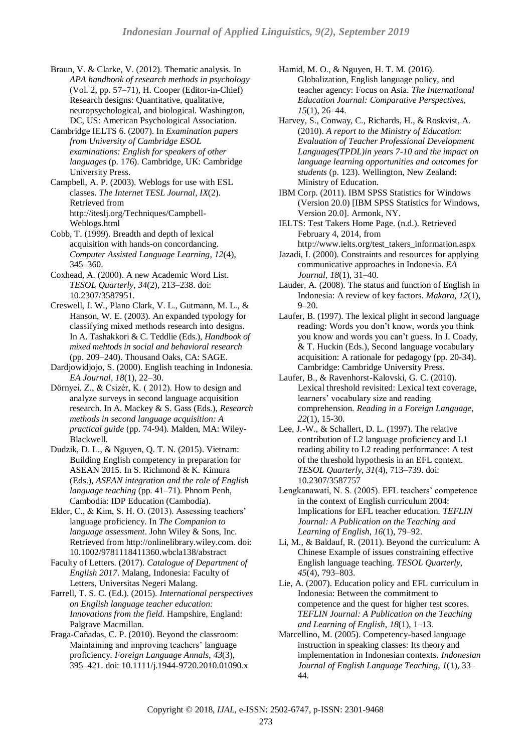- Braun, V. & Clarke, V. (2012). Thematic analysis. In *APA handbook of research methods in psychology*  (Vol. 2, pp. 57–71)*,* H. Cooper (Editor-in-Chief) Research designs: Quantitative, qualitative, neuropsychological, and biological. Washington, DC, US: American Psychological Association.
- Cambridge IELTS 6. (2007). In *Examination papers from University of Cambridge ESOL examinations: English for speakers of other languages* (p. 176). Cambridge, UK: Cambridge University Press.
- Campbell, A. P. (2003). Weblogs for use with ESL classes. *The Internet TESL Journal*, *IX*(2). Retrieved from http://iteslj.org/Techniques/Campbell-Weblogs.html
- Cobb, T. (1999). Breadth and depth of lexical acquisition with hands-on concordancing. *Computer Assisted Language Learning*, *12*(4), 345–360.
- Coxhead, A. (2000). A new Academic Word List. *TESOL Quarterly*, *34*(2), 213–238. doi: 10.2307/3587951.
- Creswell, J. W., Plano Clark, V. L., Gutmann, M. L., & Hanson, W. E. (2003). An expanded typology for classifying mixed methods research into designs. In A. Tashakkori & C. Teddlie (Eds.), *Handbook of mixed mehtods in social and behavioral research*  (pp. 209–240). Thousand Oaks, CA: SAGE.
- Dardjowidjojo, S. (2000). English teaching in Indonesia. *EA Journal*, *18*(1), 22–30.
- Dörnyei, Z., & Csizér, K. ( 2012). How to design and analyze surveys in second language acquisition research. In A. Mackey & S. Gass (Eds.), *Research methods in second language acquisition: A practical guide* (pp. 74-94). Malden, MA: Wiley-Blackwell.
- Dudzik, D. L., & Nguyen, Q. T. N. (2015). Vietnam: Building English competency in preparation for ASEAN 2015. In S. Richmond & K. Kimura (Eds.), *ASEAN integration and the role of English language teaching* (pp. 41–71). Phnom Penh, Cambodia: IDP Education (Cambodia).
- Elder, C., & Kim, S. H. O. (2013). Assessing teachers' language proficiency. In *The Companion to language assessment*. John Wiley & Sons, Inc. Retrieved from http://onlinelibrary.wiley.com. doi: 10.1002/9781118411360.wbcla138/abstract
- Faculty of Letters. (2017). *Catalogue of Department of English 2017*. Malang, Indonesia: Faculty of Letters, Universitas Negeri Malang.
- Farrell, T. S. C. (Ed.). (2015). *International perspectives on English language teacher education: Innovations from the field*. Hampshire, England: Palgrave Macmillan.
- Fraga-Cañadas, C. P. (2010). Beyond the classroom: Maintaining and improving teachers' language proficiency. *Foreign Language Annals*, *43*(3), 395–421. doi: 10.1111/j.1944-9720.2010.01090.x

Hamid, M. O., & Nguyen, H. T. M. (2016). Globalization, English language policy, and teacher agency: Focus on Asia. *The International Education Journal: Comparative Perspectives*, *15*(1), 26–44.

- Harvey, S., Conway, C., Richards, H., & Roskvist, A. (2010). *A report to the Ministry of Education: Evaluation of Teacher Professional Development Languages(TPDL)in years 7-10 and the impact on language learning opportunities and outcomes for students* (p. 123). Wellington, New Zealand: Ministry of Education.
- IBM Corp. (2011). IBM SPSS Statistics for Windows (Version 20.0) [IBM SPSS Statistics for Windows, Version 20.0]. Armonk, NY.
- IELTS: Test Takers Home Page. (n.d.). Retrieved February 4, 2014, from
- http://www.ielts.org/test\_takers\_information.aspx Jazadi, I. (2000). Constraints and resources for applying communicative approaches in Indonesia. *EA Journal*, *18*(1), 31–40.
- Lauder, A. (2008). The status and function of English in Indonesia: A review of key factors. *Makara*, *12*(1), 9–20.
- Laufer, B. (1997). The lexical plight in second language reading: Words you don't know, words you think you know and words you can't guess. In J. Coady, & T. Huckin (Eds.), Second language vocabulary acquisition: A rationale for pedagogy (pp. 20-34). Cambridge: Cambridge University Press.
- Laufer, B., & Ravenhorst-Kalovski, G. C. (2010). Lexical threshold revisited: Lexical text coverage, learners' vocabulary size and reading comprehension. *Reading in a Foreign Language*, *22*(1), 15-30.
- Lee, J.-W., & Schallert, D. L. (1997). The relative contribution of L2 language proficiency and L1 reading ability to L2 reading performance: A test of the threshold hypothesis in an EFL context. *TESOL Quarterly*, *31*(4), 713–739. doi: 10.2307/3587757
- Lengkanawati, N. S. (2005). EFL teachers' competence in the context of English curriculum 2004: Implications for EFL teacher education. *TEFLIN Journal: A Publication on the Teaching and Learning of English*, *16*(1), 79–92.
- Li, M., & Baldauf, R. (2011). Beyond the curriculum: A Chinese Example of issues constraining effective English language teaching. *TESOL Quarterly*, *45*(4), 793–803.
- Lie, A. (2007). Education policy and EFL curriculum in Indonesia: Between the commitment to competence and the quest for higher test scores. *TEFLIN Journal: A Publication on the Teaching and Learning of English*, *18*(1), 1–13.
- Marcellino, M. (2005). Competency-based language instruction in speaking classes: Its theory and implementation in Indonesian contexts. *Indonesian Journal of English Language Teaching*, *1*(1), 33– 44.